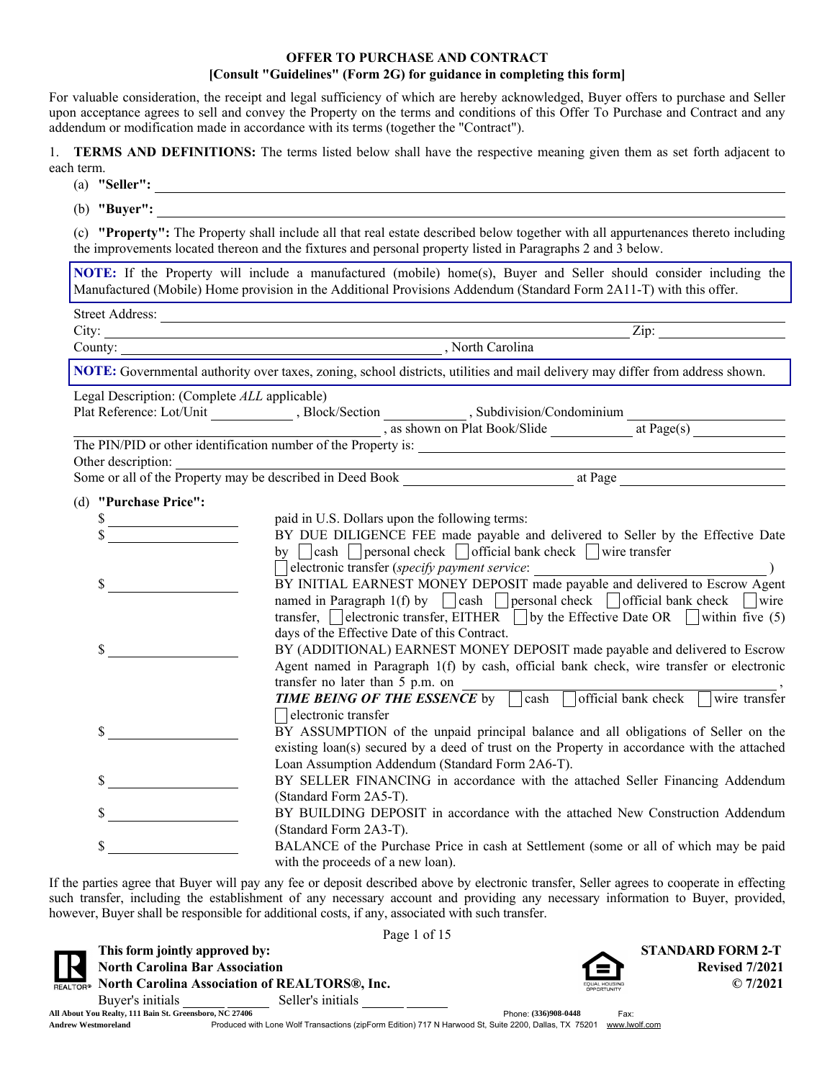## OFFER TO PURCHASE AND CONTRACT [Consult "Guidelines" (Form 2G) for guidance in completing this form]

For valuable consideration, the receipt and legal sufficiency of which are hereby acknowledged, Buyer offers to purchase and Seller upon acceptance agrees to sell and convey the Property on the terms and conditions of this Offer To Purchase and Contract and any addendum or modification made in accordance with its terms (together the "Contract").

1. TERMS AND DEFINITIONS: The terms listed below shall have the respective meaning given them as set forth adjacent to each term.

- (a) "Seller":
- (b) "Buyer":

(c) "Property": The Property shall include all that real estate described below together with all appurtenances thereto including the improvements located thereon and the fixtures and personal property listed in Paragraphs 2 and 3 below.

NOTE: If the Property will include a manufactured (mobile) home(s), Buyer and Seller should consider including the Manufactured (Mobile) Home provision in the Additional Provisions Addendum (Standard Form 2A11-T) with this offer.

|                                              | City:                                                                                                                                |                                                                                      | Zip:                                                                                                |  |
|----------------------------------------------|--------------------------------------------------------------------------------------------------------------------------------------|--------------------------------------------------------------------------------------|-----------------------------------------------------------------------------------------------------|--|
|                                              |                                                                                                                                      |                                                                                      |                                                                                                     |  |
|                                              | <b>NOTE:</b> Governmental authority over taxes, zoning, school districts, utilities and mail delivery may differ from address shown. |                                                                                      |                                                                                                     |  |
| Legal Description: (Complete ALL applicable) |                                                                                                                                      |                                                                                      |                                                                                                     |  |
|                                              |                                                                                                                                      |                                                                                      |                                                                                                     |  |
|                                              |                                                                                                                                      |                                                                                      |                                                                                                     |  |
|                                              |                                                                                                                                      |                                                                                      |                                                                                                     |  |
| Other description:                           |                                                                                                                                      |                                                                                      |                                                                                                     |  |
|                                              |                                                                                                                                      |                                                                                      |                                                                                                     |  |
| (d) "Purchase Price":                        |                                                                                                                                      |                                                                                      |                                                                                                     |  |
| $\frac{\text{S}}{\text{S}}$                  | paid in U.S. Dollars upon the following terms:                                                                                       |                                                                                      |                                                                                                     |  |
|                                              |                                                                                                                                      |                                                                                      | BY DUE DILIGENCE FEE made payable and delivered to Seller by the Effective Date                     |  |
|                                              |                                                                                                                                      | by $\Box$ cash $\Box$ personal check $\Box$ official bank check $\Box$ wire transfer |                                                                                                     |  |
|                                              |                                                                                                                                      |                                                                                      |                                                                                                     |  |
| \$                                           |                                                                                                                                      |                                                                                      |                                                                                                     |  |
|                                              |                                                                                                                                      |                                                                                      | named in Paragraph $1(f)$ by $\log$ eash personal check official bank check wire                    |  |
|                                              |                                                                                                                                      |                                                                                      | transfer, $\Box$ electronic transfer, EITHER $\Box$ by the Effective Date OR $\Box$ within five (5) |  |
|                                              | days of the Effective Date of this Contract.                                                                                         |                                                                                      |                                                                                                     |  |
| \$                                           |                                                                                                                                      |                                                                                      | BY (ADDITIONAL) EARNEST MONEY DEPOSIT made payable and delivered to Escrow                          |  |
|                                              |                                                                                                                                      |                                                                                      | Agent named in Paragraph 1(f) by cash, official bank check, wire transfer or electronic             |  |
|                                              | transfer no later than 5 p.m. on                                                                                                     |                                                                                      |                                                                                                     |  |
|                                              |                                                                                                                                      |                                                                                      | <b>TIME BEING OF THE ESSENCE</b> by $\Box$ cash $\Box$ official bank check $\Box$ wire transfer     |  |
|                                              | electronic transfer                                                                                                                  |                                                                                      |                                                                                                     |  |
| \$                                           |                                                                                                                                      |                                                                                      | BY ASSUMPTION of the unpaid principal balance and all obligations of Seller on the                  |  |
|                                              |                                                                                                                                      |                                                                                      | existing loan(s) secured by a deed of trust on the Property in accordance with the attached         |  |
|                                              | Loan Assumption Addendum (Standard Form 2A6-T).                                                                                      |                                                                                      |                                                                                                     |  |
| \$                                           |                                                                                                                                      |                                                                                      | BY SELLER FINANCING in accordance with the attached Seller Financing Addendum                       |  |
|                                              | (Standard Form 2A5-T).                                                                                                               |                                                                                      |                                                                                                     |  |
| \$                                           |                                                                                                                                      |                                                                                      | BY BUILDING DEPOSIT in accordance with the attached New Construction Addendum                       |  |
|                                              | (Standard Form 2A3-T).                                                                                                               |                                                                                      |                                                                                                     |  |
| \$                                           |                                                                                                                                      |                                                                                      | BALANCE of the Purchase Price in cash at Settlement (some or all of which may be paid               |  |
|                                              | with the proceeds of a new loan).                                                                                                    |                                                                                      |                                                                                                     |  |

If the parties agree that Buyer will pay any fee or deposit described above by electronic transfer, Seller agrees to cooperate in effecting such transfer, including the establishment of any necessary account and providing any necessary information to Buyer, provided, however, Buyer shall be responsible for additional costs, if any, associated with such transfer.

Page 1 of 15

|                                                    |                                                         |                   | $$ wav $$ v $$                                                                                        |                                     |                          |
|----------------------------------------------------|---------------------------------------------------------|-------------------|-------------------------------------------------------------------------------------------------------|-------------------------------------|--------------------------|
|                                                    | This form jointly approved by:                          |                   |                                                                                                       |                                     | <b>STANDARD FORM 2-T</b> |
| <b>IP</b><br><b>North Carolina Bar Association</b> |                                                         |                   | $\bigcap$<br><b>Revised 7/2021</b>                                                                    |                                     |                          |
|                                                    | REALTOR® North Carolina Association of REALTORS®, Inc.  |                   |                                                                                                       | EQUAL HOUSING<br><b>OPPORTUNITY</b> | $\odot$ 7/2021           |
|                                                    | Buver's initials                                        | Seller's initials |                                                                                                       |                                     |                          |
|                                                    | All About You Realty, 111 Bain St. Greensboro, NC 27406 |                   | Phone: (336)908-0448                                                                                  | Fax:                                |                          |
| <b>Andrew Westmoreland</b>                         |                                                         |                   | Produced with Lone Wolf Transactions (zipForm Edition) 717 N Harwood St, Suite 2200, Dallas, TX 75201 | www.lwolf.com                       |                          |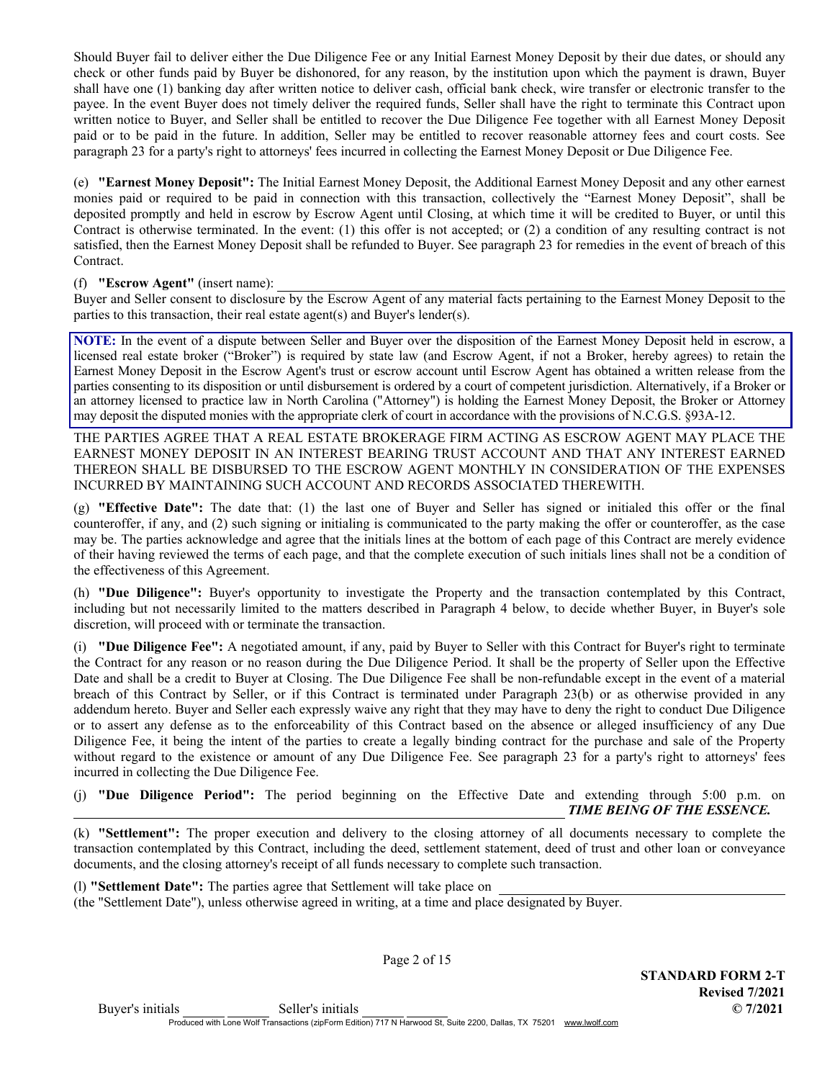Should Buyer fail to deliver either the Due Diligence Fee or any Initial Earnest Money Deposit by their due dates, or should any check or other funds paid by Buyer be dishonored, for any reason, by the institution upon which the payment is drawn, Buyer shall have one (1) banking day after written notice to deliver cash, official bank check, wire transfer or electronic transfer to the payee. In the event Buyer does not timely deliver the required funds, Seller shall have the right to terminate this Contract upon written notice to Buyer, and Seller shall be entitled to recover the Due Diligence Fee together with all Earnest Money Deposit paid or to be paid in the future. In addition, Seller may be entitled to recover reasonable attorney fees and court costs. See paragraph 23 for a party's right to attorneys' fees incurred in collecting the Earnest Money Deposit or Due Diligence Fee.

(e) "Earnest Money Deposit": The Initial Earnest Money Deposit, the Additional Earnest Money Deposit and any other earnest monies paid or required to be paid in connection with this transaction, collectively the "Earnest Money Deposit", shall be deposited promptly and held in escrow by Escrow Agent until Closing, at which time it will be credited to Buyer, or until this Contract is otherwise terminated. In the event: (1) this offer is not accepted; or (2) a condition of any resulting contract is not satisfied, then the Earnest Money Deposit shall be refunded to Buyer. See paragraph 23 for remedies in the event of breach of this Contract.

### (f) "Escrow Agent" (insert name):

Buyer and Seller consent to disclosure by the Escrow Agent of any material facts pertaining to the Earnest Money Deposit to the parties to this transaction, their real estate agent(s) and Buyer's lender(s).

NOTE: In the event of a dispute between Seller and Buyer over the disposition of the Earnest Money Deposit held in escrow, a licensed real estate broker ("Broker") is required by state law (and Escrow Agent, if not a Broker, hereby agrees) to retain the Earnest Money Deposit in the Escrow Agent's trust or escrow account until Escrow Agent has obtained a written release from the parties consenting to its disposition or until disbursement is ordered by a court of competent jurisdiction. Alternatively, if a Broker or an attorney licensed to practice law in North Carolina ("Attorney") is holding the Earnest Money Deposit, the Broker or Attorney may deposit the disputed monies with the appropriate clerk of court in accordance with the provisions of N.C.G.S. §93A-12.

THE PARTIES AGREE THAT A REAL ESTATE BROKERAGE FIRM ACTING AS ESCROW AGENT MAY PLACE THE EARNEST MONEY DEPOSIT IN AN INTEREST BEARING TRUST ACCOUNT AND THAT ANY INTEREST EARNED THEREON SHALL BE DISBURSED TO THE ESCROW AGENT MONTHLY IN CONSIDERATION OF THE EXPENSES INCURRED BY MAINTAINING SUCH ACCOUNT AND RECORDS ASSOCIATED THEREWITH.

(g) "Effective Date": The date that: (1) the last one of Buyer and Seller has signed or initialed this offer or the final counteroffer, if any, and (2) such signing or initialing is communicated to the party making the offer or counteroffer, as the case may be. The parties acknowledge and agree that the initials lines at the bottom of each page of this Contract are merely evidence of their having reviewed the terms of each page, and that the complete execution of such initials lines shall not be a condition of the effectiveness of this Agreement.

(h) "Due Diligence": Buyer's opportunity to investigate the Property and the transaction contemplated by this Contract, including but not necessarily limited to the matters described in Paragraph 4 below, to decide whether Buyer, in Buyer's sole discretion, will proceed with or terminate the transaction.

(i) "Due Diligence Fee": A negotiated amount, if any, paid by Buyer to Seller with this Contract for Buyer's right to terminate the Contract for any reason or no reason during the Due Diligence Period. It shall be the property of Seller upon the Effective Date and shall be a credit to Buyer at Closing. The Due Diligence Fee shall be non-refundable except in the event of a material breach of this Contract by Seller, or if this Contract is terminated under Paragraph 23(b) or as otherwise provided in any addendum hereto. Buyer and Seller each expressly waive any right that they may have to deny the right to conduct Due Diligence or to assert any defense as to the enforceability of this Contract based on the absence or alleged insufficiency of any Due Diligence Fee, it being the intent of the parties to create a legally binding contract for the purchase and sale of the Property without regard to the existence or amount of any Due Diligence Fee. See paragraph 23 for a party's right to attorneys' fees incurred in collecting the Due Diligence Fee.

(j) "Due Diligence Period": The period beginning on the Effective Date and extending through 5:00 p.m. on *TIME BEING OF THE ESSENCE.*

(k) "Settlement": The proper execution and delivery to the closing attorney of all documents necessary to complete the transaction contemplated by this Contract, including the deed, settlement statement, deed of trust and other loan or conveyance documents, and the closing attorney's receipt of all funds necessary to complete such transaction.

(l) "Settlement Date": The parties agree that Settlement will take place on

(the "Settlement Date"), unless otherwise agreed in writing, at a time and place designated by Buyer.

Page 2 of 15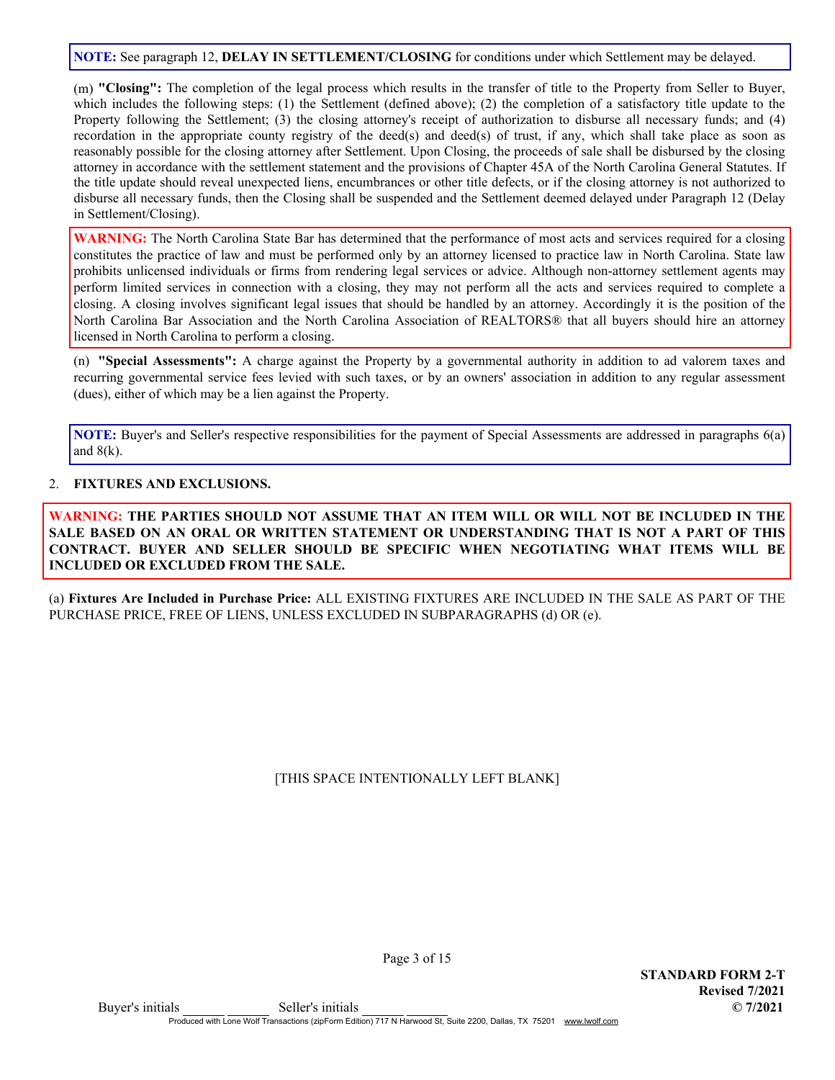NOTE: See paragraph 12, DELAY IN SETTLEMENT/CLOSING for conditions under which Settlement may be delayed.

(m) "Closing": The completion of the legal process which results in the transfer of title to the Property from Seller to Buyer, which includes the following steps: (1) the Settlement (defined above); (2) the completion of a satisfactory title update to the Property following the Settlement; (3) the closing attorney's receipt of authorization to disburse all necessary funds; and (4) recordation in the appropriate county registry of the deed(s) and deed(s) of trust, if any, which shall take place as soon as reasonably possible for the closing attorney after Settlement. Upon Closing, the proceeds of sale shall be disbursed by the closing attorney in accordance with the settlement statement and the provisions of Chapter 45A of the North Carolina General Statutes. If the title update should reveal unexpected liens, encumbrances or other title defects, or if the closing attorney is not authorized to disburse all necessary funds, then the Closing shall be suspended and the Settlement deemed delayed under Paragraph 12 (Delay in Settlement/Closing).

WARNING: The North Carolina State Bar has determined that the performance of most acts and services required for a closing constitutes the practice of law and must be performed only by an attorney licensed to practice law in North Carolina. State law prohibits unlicensed individuals or firms from rendering legal services or advice. Although non-attorney settlement agents may perform limited services in connection with a closing, they may not perform all the acts and services required to complete a closing. A closing involves significant legal issues that should be handled by an attorney. Accordingly it is the position of the North Carolina Bar Association and the North Carolina Association of REALTORS® that all buyers should hire an attorney licensed in North Carolina to perform a closing.

(n) "Special Assessments": A charge against the Property by a governmental authority in addition to ad valorem taxes and recurring governmental service fees levied with such taxes, or by an owners' association in addition to any regular assessment (dues), either of which may be a lien against the Property.

NOTE: Buyer's and Seller's respective responsibilities for the payment of Special Assessments are addressed in paragraphs 6(a) and  $8(k)$ .

## 2. FIXTURES AND EXCLUSIONS.

WARNING: THE PARTIES SHOULD NOT ASSUME THAT AN ITEM WILL OR WILL NOT BE INCLUDED IN THE SALE BASED ON AN ORAL OR WRITTEN STATEMENT OR UNDERSTANDING THAT IS NOT A PART OF THIS CONTRACT. BUYER AND SELLER SHOULD BE SPECIFIC WHEN NEGOTIATING WHAT ITEMS WILL BE INCLUDED OR EXCLUDED FROM THE SALE.

(a) Fixtures Are Included in Purchase Price: ALL EXISTING FIXTURES ARE INCLUDED IN THE SALE AS PART OF THE PURCHASE PRICE, FREE OF LIENS, UNLESS EXCLUDED IN SUBPARAGRAPHS (d) OR (e).

# [THIS SPACE INTENTIONALLY LEFT BLANK]

Page 3 of 15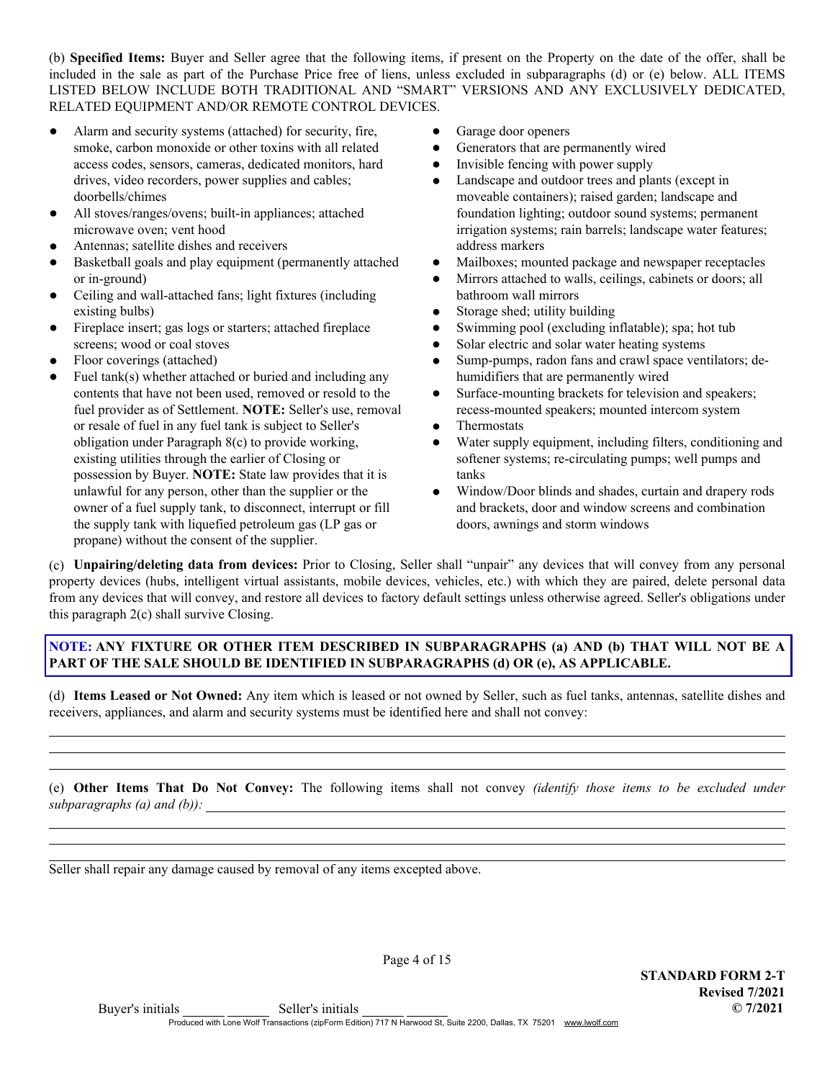(b) Specified Items: Buyer and Seller agree that the following items, if present on the Property on the date of the offer, shall be included in the sale as part of the Purchase Price free of liens, unless excluded in subparagraphs (d) or (e) below. ALL ITEMS LISTED BELOW INCLUDE BOTH TRADITIONAL AND "SMART" VERSIONS AND ANY EXCLUSIVELY DEDICATED, RELATED EQUIPMENT AND/OR REMOTE CONTROL DEVICES.

- Alarm and security systems (attached) for security, fire, smoke, carbon monoxide or other toxins with all related access codes, sensors, cameras, dedicated monitors, hard drives, video recorders, power supplies and cables; doorbells/chimes
- All stoves/ranges/ovens; built-in appliances; attached microwave oven; vent hood
- Antennas; satellite dishes and receivers
- Basketball goals and play equipment (permanently attached or in-ground)
- Ceiling and wall-attached fans; light fixtures (including existing bulbs)
- Fireplace insert; gas logs or starters; attached fireplace screens; wood or coal stoves
- Floor coverings (attached)
- Fuel tank(s) whether attached or buried and including any contents that have not been used, removed or resold to the fuel provider as of Settlement. NOTE: Seller's use, removal or resale of fuel in any fuel tank is subject to Seller's obligation under Paragraph 8(c) to provide working, existing utilities through the earlier of Closing or possession by Buyer. NOTE: State law provides that it is unlawful for any person, other than the supplier or the owner of a fuel supply tank, to disconnect, interrupt or fill the supply tank with liquefied petroleum gas (LP gas or propane) without the consent of the supplier.
- Garage door openers
- Generators that are permanently wired
- Invisible fencing with power supply
- Landscape and outdoor trees and plants (except in moveable containers); raised garden; landscape and foundation lighting; outdoor sound systems; permanent irrigation systems; rain barrels; landscape water features; address markers
- Mailboxes; mounted package and newspaper receptacles
- Mirrors attached to walls, ceilings, cabinets or doors; all bathroom wall mirrors
- Storage shed; utility building
- Swimming pool (excluding inflatable); spa; hot tub
- Solar electric and solar water heating systems
- Sump-pumps, radon fans and crawl space ventilators; dehumidifiers that are permanently wired
- Surface-mounting brackets for television and speakers; recess-mounted speakers; mounted intercom system
- **Thermostats**
- Water supply equipment, including filters, conditioning and softener systems; re-circulating pumps; well pumps and tanks
- Window/Door blinds and shades, curtain and drapery rods and brackets, door and window screens and combination doors, awnings and storm windows

(c) Unpairing/deleting data from devices: Prior to Closing, Seller shall "unpair" any devices that will convey from any personal property devices (hubs, intelligent virtual assistants, mobile devices, vehicles, etc.) with which they are paired, delete personal data from any devices that will convey, and restore all devices to factory default settings unless otherwise agreed. Seller's obligations under this paragraph 2(c) shall survive Closing.

# NOTE: ANY FIXTURE OR OTHER ITEM DESCRIBED IN SUBPARAGRAPHS (a) AND (b) THAT WILL NOT BE A PART OF THE SALE SHOULD BE IDENTIFIED IN SUBPARAGRAPHS (d) OR (e), AS APPLICABLE.

(d) Items Leased or Not Owned: Any item which is leased or not owned by Seller, such as fuel tanks, antennas, satellite dishes and receivers, appliances, and alarm and security systems must be identified here and shall not convey:

(e) Other Items That Do Not Convey: The following items shall not convey *(identify those items to be excluded under subparagraphs (a) and (b)):*

Seller shall repair any damage caused by removal of any items excepted above.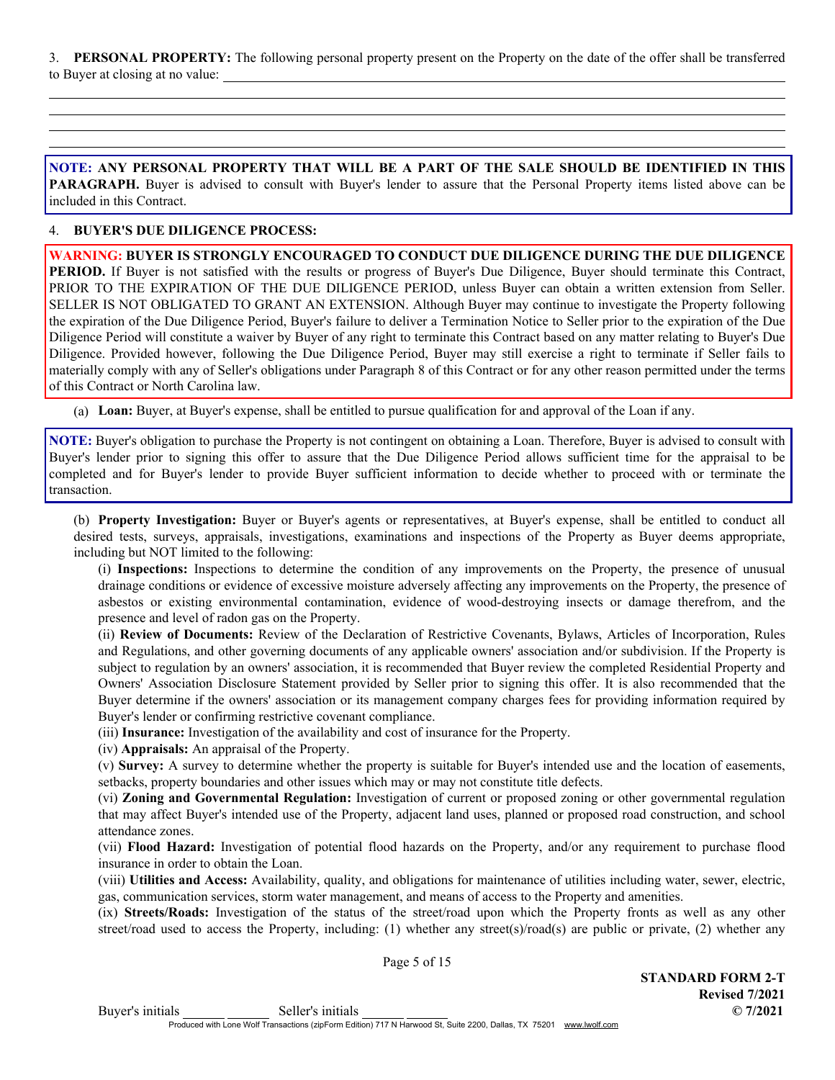3. PERSONAL PROPERTY: The following personal property present on the Property on the date of the offer shall be transferred to Buyer at closing at no value:

NOTE: ANY PERSONAL PROPERTY THAT WILL BE A PART OF THE SALE SHOULD BE IDENTIFIED IN THIS PARAGRAPH. Buyer is advised to consult with Buyer's lender to assure that the Personal Property items listed above can be included in this Contract.

#### 4. BUYER'S DUE DILIGENCE PROCESS:

WARNING: BUYER IS STRONGLY ENCOURAGED TO CONDUCT DUE DILIGENCE DURING THE DUE DILIGENCE PERIOD. If Buyer is not satisfied with the results or progress of Buyer's Due Diligence, Buyer should terminate this Contract, PRIOR TO THE EXPIRATION OF THE DUE DILIGENCE PERIOD, unless Buyer can obtain a written extension from Seller. SELLER IS NOT OBLIGATED TO GRANT AN EXTENSION. Although Buyer may continue to investigate the Property following the expiration of the Due Diligence Period, Buyer's failure to deliver a Termination Notice to Seller prior to the expiration of the Due Diligence Period will constitute a waiver by Buyer of any right to terminate this Contract based on any matter relating to Buyer's Due Diligence. Provided however, following the Due Diligence Period, Buyer may still exercise a right to terminate if Seller fails to materially comply with any of Seller's obligations under Paragraph 8 of this Contract or for any other reason permitted under the terms of this Contract or North Carolina law.

(a) Loan: Buyer, at Buyer's expense, shall be entitled to pursue qualification for and approval of the Loan if any.

NOTE: Buyer's obligation to purchase the Property is not contingent on obtaining a Loan. Therefore, Buyer is advised to consult with Buyer's lender prior to signing this offer to assure that the Due Diligence Period allows sufficient time for the appraisal to be completed and for Buyer's lender to provide Buyer sufficient information to decide whether to proceed with or terminate the transaction.

(b) Property Investigation: Buyer or Buyer's agents or representatives, at Buyer's expense, shall be entitled to conduct all desired tests, surveys, appraisals, investigations, examinations and inspections of the Property as Buyer deems appropriate, including but NOT limited to the following:

(i) Inspections: Inspections to determine the condition of any improvements on the Property, the presence of unusual drainage conditions or evidence of excessive moisture adversely affecting any improvements on the Property, the presence of asbestos or existing environmental contamination, evidence of wood-destroying insects or damage therefrom, and the presence and level of radon gas on the Property.

(ii) Review of Documents: Review of the Declaration of Restrictive Covenants, Bylaws, Articles of Incorporation, Rules and Regulations, and other governing documents of any applicable owners' association and/or subdivision. If the Property is subject to regulation by an owners' association, it is recommended that Buyer review the completed Residential Property and Owners' Association Disclosure Statement provided by Seller prior to signing this offer. It is also recommended that the Buyer determine if the owners' association or its management company charges fees for providing information required by Buyer's lender or confirming restrictive covenant compliance.

(iii) Insurance: Investigation of the availability and cost of insurance for the Property.

(iv) Appraisals: An appraisal of the Property.

(v) Survey: A survey to determine whether the property is suitable for Buyer's intended use and the location of easements, setbacks, property boundaries and other issues which may or may not constitute title defects.

(vi) Zoning and Governmental Regulation: Investigation of current or proposed zoning or other governmental regulation that may affect Buyer's intended use of the Property, adjacent land uses, planned or proposed road construction, and school attendance zones.

(vii) Flood Hazard: Investigation of potential flood hazards on the Property, and/or any requirement to purchase flood insurance in order to obtain the Loan.

(viii) Utilities and Access: Availability, quality, and obligations for maintenance of utilities including water, sewer, electric, gas, communication services, storm water management, and means of access to the Property and amenities.

(ix) Streets/Roads: Investigation of the status of the street/road upon which the Property fronts as well as any other street/road used to access the Property, including: (1) whether any street(s)/road(s) are public or private, (2) whether any

Page 5 of 15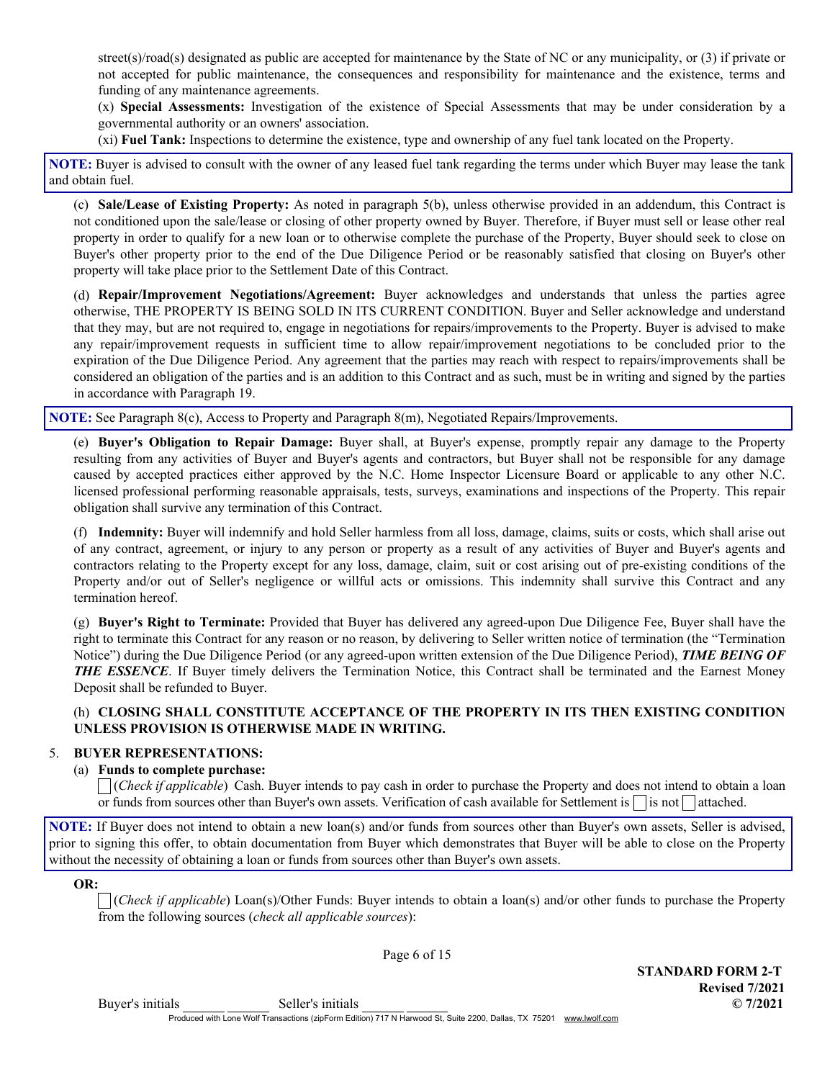street(s)/road(s) designated as public are accepted for maintenance by the State of NC or any municipality, or (3) if private or not accepted for public maintenance, the consequences and responsibility for maintenance and the existence, terms and funding of any maintenance agreements.

(x) Special Assessments: Investigation of the existence of Special Assessments that may be under consideration by a governmental authority or an owners' association.

(xi) Fuel Tank: Inspections to determine the existence, type and ownership of any fuel tank located on the Property.

NOTE: Buyer is advised to consult with the owner of any leased fuel tank regarding the terms under which Buyer may lease the tank and obtain fuel.

(c) Sale/Lease of Existing Property: As noted in paragraph 5(b), unless otherwise provided in an addendum, this Contract is not conditioned upon the sale/lease or closing of other property owned by Buyer. Therefore, if Buyer must sell or lease other real property in order to qualify for a new loan or to otherwise complete the purchase of the Property, Buyer should seek to close on Buyer's other property prior to the end of the Due Diligence Period or be reasonably satisfied that closing on Buyer's other property will take place prior to the Settlement Date of this Contract.

(d) Repair/Improvement Negotiations/Agreement: Buyer acknowledges and understands that unless the parties agree otherwise, THE PROPERTY IS BEING SOLD IN ITS CURRENT CONDITION. Buyer and Seller acknowledge and understand that they may, but are not required to, engage in negotiations for repairs/improvements to the Property. Buyer is advised to make any repair/improvement requests in sufficient time to allow repair/improvement negotiations to be concluded prior to the expiration of the Due Diligence Period. Any agreement that the parties may reach with respect to repairs/improvements shall be considered an obligation of the parties and is an addition to this Contract and as such, must be in writing and signed by the parties in accordance with Paragraph 19.

NOTE: See Paragraph 8(c), Access to Property and Paragraph 8(m), Negotiated Repairs/Improvements.

(e) Buyer's Obligation to Repair Damage: Buyer shall, at Buyer's expense, promptly repair any damage to the Property resulting from any activities of Buyer and Buyer's agents and contractors, but Buyer shall not be responsible for any damage caused by accepted practices either approved by the N.C. Home Inspector Licensure Board or applicable to any other N.C. licensed professional performing reasonable appraisals, tests, surveys, examinations and inspections of the Property. This repair obligation shall survive any termination of this Contract.

(f) Indemnity: Buyer will indemnify and hold Seller harmless from all loss, damage, claims, suits or costs, which shall arise out of any contract, agreement, or injury to any person or property as a result of any activities of Buyer and Buyer's agents and contractors relating to the Property except for any loss, damage, claim, suit or cost arising out of pre-existing conditions of the Property and/or out of Seller's negligence or willful acts or omissions. This indemnity shall survive this Contract and any termination hereof.

(g) Buyer's Right to Terminate: Provided that Buyer has delivered any agreed-upon Due Diligence Fee, Buyer shall have the right to terminate this Contract for any reason or no reason, by delivering to Seller written notice of termination (the "Termination Notice") during the Due Diligence Period (or any agreed-upon written extension of the Due Diligence Period), *TIME BEING OF THE ESSENCE*. If Buyer timely delivers the Termination Notice, this Contract shall be terminated and the Earnest Money Deposit shall be refunded to Buyer.

## (h) CLOSING SHALL CONSTITUTE ACCEPTANCE OF THE PROPERTY IN ITS THEN EXISTING CONDITION UNLESS PROVISION IS OTHERWISE MADE IN WRITING.

### 5. BUYER REPRESENTATIONS:

### (a) Funds to complete purchase:

 (*Check if applicable*) Cash. Buyer intends to pay cash in order to purchase the Property and does not intend to obtain a loan or funds from sources other than Buyer's own assets. Verification of cash available for Settlement is  $\Box$  is not  $\Box$  attached.

NOTE: If Buyer does not intend to obtain a new loan(s) and/or funds from sources other than Buyer's own assets, Seller is advised, prior to signing this offer, to obtain documentation from Buyer which demonstrates that Buyer will be able to close on the Property without the necessity of obtaining a loan or funds from sources other than Buyer's own assets.

### OR:

 (*Check if applicable*) Loan(s)/Other Funds: Buyer intends to obtain a loan(s) and/or other funds to purchase the Property from the following sources (*check all applicable sources*):

Page 6 of 15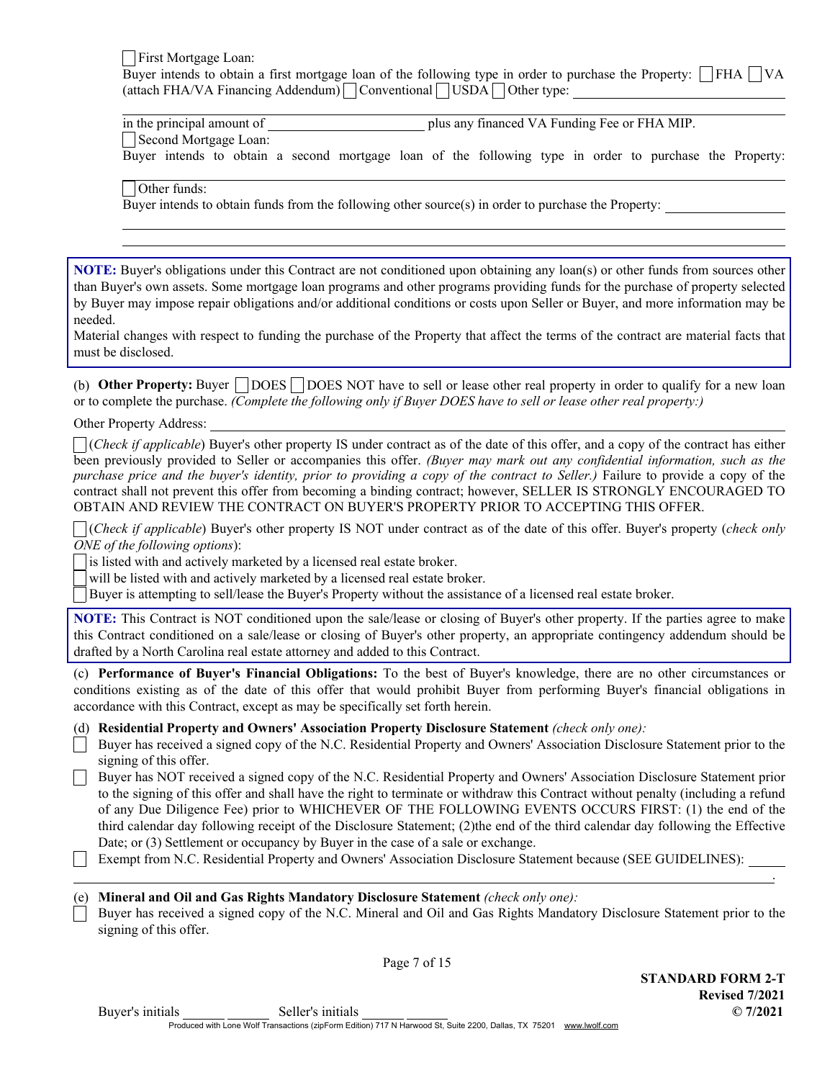First Mortgage Loan:

Buyer intends to obtain a first mortgage loan of the following type in order to purchase the Property:  $\Box$ FHA  $\Box$ VA (attach FHA/VA Financing Addendum) Conventional USDA  $\Box$  Other type:

in the principal amount of plus any financed VA Funding Fee or FHA MIP.

| Second Mortgage Loan:

Buyer intends to obtain a second mortgage loan of the following type in order to purchase the Property:

Other funds:

Buyer intends to obtain funds from the following other source(s) in order to purchase the Property:

NOTE: Buyer's obligations under this Contract are not conditioned upon obtaining any loan(s) or other funds from sources other than Buyer's own assets. Some mortgage loan programs and other programs providing funds for the purchase of property selected by Buyer may impose repair obligations and/or additional conditions or costs upon Seller or Buyer, and more information may be needed.

Material changes with respect to funding the purchase of the Property that affect the terms of the contract are material facts that must be disclosed.

(b) Other Property: Buyer DOES DOES NOT have to sell or lease other real property in order to qualify for a new loan or to complete the purchase. *(Complete the following only if Buyer DOES have to sell or lease other real property:)*

Other Property Address:

 $\Box$  (*Check if applicable*) Buyer's other property IS under contract as of the date of this offer, and a copy of the contract has either been previously provided to Seller or accompanies this offer. *(Buyer may mark out any confidential information, such as the purchase price and the buyer's identity, prior to providing a copy of the contract to Seller.)* Failure to provide a copy of the contract shall not prevent this offer from becoming a binding contract; however, SELLER IS STRONGLY ENCOURAGED TO OBTAIN AND REVIEW THE CONTRACT ON BUYER'S PROPERTY PRIOR TO ACCEPTING THIS OFFER.

 (*Check if applicable*) Buyer's other property IS NOT under contract as of the date of this offer. Buyer's property (*check only ONE of the following options*):

is listed with and actively marketed by a licensed real estate broker.

will be listed with and actively marketed by a licensed real estate broker.

Buyer is attempting to sell/lease the Buyer's Property without the assistance of a licensed real estate broker.

NOTE: This Contract is NOT conditioned upon the sale/lease or closing of Buyer's other property. If the parties agree to make this Contract conditioned on a sale/lease or closing of Buyer's other property, an appropriate contingency addendum should be drafted by a North Carolina real estate attorney and added to this Contract.

(c) Performance of Buyer's Financial Obligations: To the best of Buyer's knowledge, there are no other circumstances or conditions existing as of the date of this offer that would prohibit Buyer from performing Buyer's financial obligations in accordance with this Contract, except as may be specifically set forth herein.

(d) Residential Property and Owners' Association Property Disclosure Statement *(check only one):*

Buyer has received a signed copy of the N.C. Residential Property and Owners' Association Disclosure Statement prior to the signing of this offer.

Buyer has NOT received a signed copy of the N.C. Residential Property and Owners' Association Disclosure Statement prior to the signing of this offer and shall have the right to terminate or withdraw this Contract without penalty (including a refund of any Due Diligence Fee) prior to WHICHEVER OF THE FOLLOWING EVENTS OCCURS FIRST: (1) the end of the third calendar day following receipt of the Disclosure Statement; (2)the end of the third calendar day following the Effective Date; or (3) Settlement or occupancy by Buyer in the case of a sale or exchange.

Exempt from N.C. Residential Property and Owners' Association Disclosure Statement because (SEE GUIDELINES):

### (e) Mineral and Oil and Gas Rights Mandatory Disclosure Statement *(check only one):*

Buyer has received a signed copy of the N.C. Mineral and Oil and Gas Rights Mandatory Disclosure Statement prior to the signing of this offer.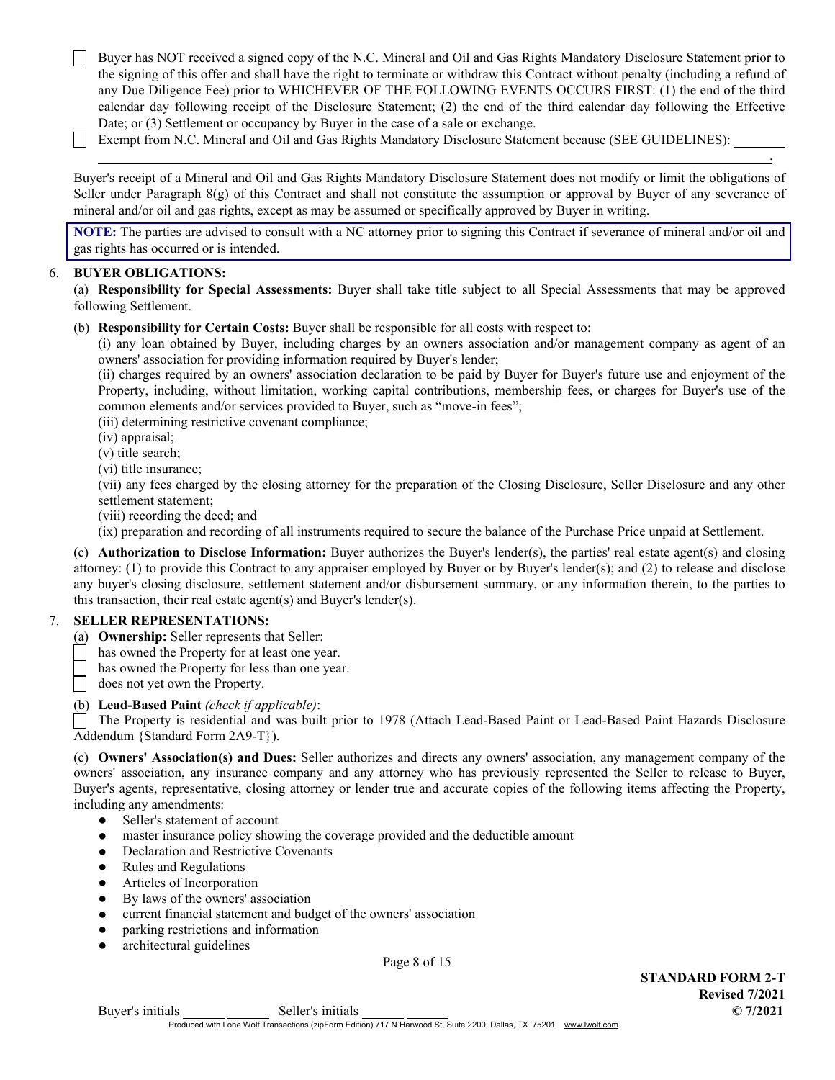Buyer has NOT received a signed copy of the N.C. Mineral and Oil and Gas Rights Mandatory Disclosure Statement prior to the signing of this offer and shall have the right to terminate or withdraw this Contract without penalty (including a refund of any Due Diligence Fee) prior to WHICHEVER OF THE FOLLOWING EVENTS OCCURS FIRST: (1) the end of the third calendar day following receipt of the Disclosure Statement; (2) the end of the third calendar day following the Effective Date; or (3) Settlement or occupancy by Buyer in the case of a sale or exchange.

Exempt from N.C. Mineral and Oil and Gas Rights Mandatory Disclosure Statement because (SEE GUIDELINES):

Buyer's receipt of a Mineral and Oil and Gas Rights Mandatory Disclosure Statement does not modify or limit the obligations of Seller under Paragraph  $8(g)$  of this Contract and shall not constitute the assumption or approval by Buyer of any severance of mineral and/or oil and gas rights, except as may be assumed or specifically approved by Buyer in writing.

NOTE: The parties are advised to consult with a NC attorney prior to signing this Contract if severance of mineral and/or oil and gas rights has occurred or is intended.

### 6. BUYER OBLIGATIONS:

(a) Responsibility for Special Assessments: Buyer shall take title subject to all Special Assessments that may be approved following Settlement.

(b) Responsibility for Certain Costs: Buyer shall be responsible for all costs with respect to:

(i) any loan obtained by Buyer, including charges by an owners association and/or management company as agent of an owners' association for providing information required by Buyer's lender;

(ii) charges required by an owners' association declaration to be paid by Buyer for Buyer's future use and enjoyment of the Property, including, without limitation, working capital contributions, membership fees, or charges for Buyer's use of the common elements and/or services provided to Buyer, such as "move-in fees";

(iii) determining restrictive covenant compliance;

(iv) appraisal;

- (v) title search;
- (vi) title insurance;

(vii) any fees charged by the closing attorney for the preparation of the Closing Disclosure, Seller Disclosure and any other settlement statement;

(viii) recording the deed; and

(ix) preparation and recording of all instruments required to secure the balance of the Purchase Price unpaid at Settlement.

(c) Authorization to Disclose Information: Buyer authorizes the Buyer's lender(s), the parties' real estate agent(s) and closing attorney: (1) to provide this Contract to any appraiser employed by Buyer or by Buyer's lender(s); and (2) to release and disclose any buyer's closing disclosure, settlement statement and/or disbursement summary, or any information therein, to the parties to this transaction, their real estate agent(s) and Buyer's lender(s).

### 7. SELLER REPRESENTATIONS:

- (a) Ownership: Seller represents that Seller:
	- has owned the Property for at least one year.
	- has owned the Property for less than one year.
	- does not yet own the Property.

(b) Lead-Based Paint *(check if applicable)*:

The Property is residential and was built prior to 1978 (Attach Lead-Based Paint or Lead-Based Paint Hazards Disclosure Addendum {Standard Form 2A9-T}).

(c) Owners' Association(s) and Dues: Seller authorizes and directs any owners' association, any management company of the owners' association, any insurance company and any attorney who has previously represented the Seller to release to Buyer, Buyer's agents, representative, closing attorney or lender true and accurate copies of the following items affecting the Property, including any amendments:

- Seller's statement of account
- master insurance policy showing the coverage provided and the deductible amount
- Declaration and Restrictive Covenants
- Rules and Regulations
- Articles of Incorporation
- By laws of the owners' association
- current financial statement and budget of the owners' association
- parking restrictions and information
- architectural guidelines

Page 8 of 15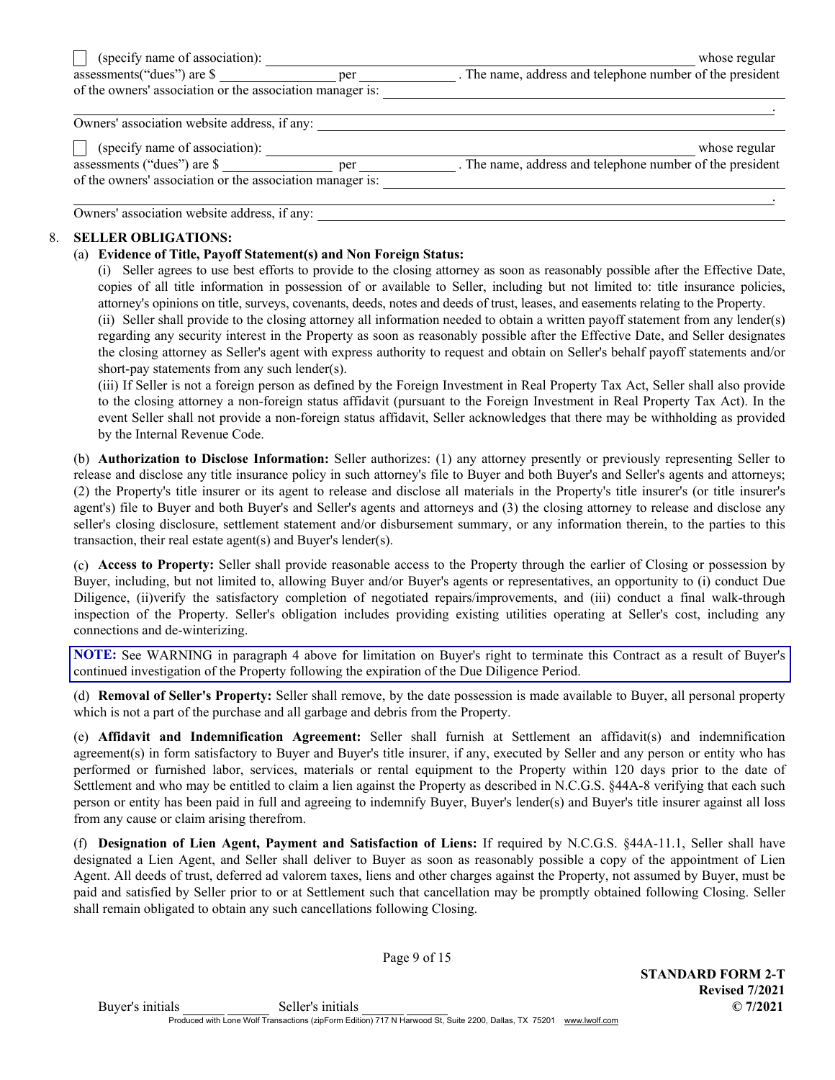| (specify name of association):<br>assessments ("dues") are \$<br>of the owners' association or the association manager is: | per | whose regular<br>. The name, address and telephone number of the president |
|----------------------------------------------------------------------------------------------------------------------------|-----|----------------------------------------------------------------------------|
| Owners' association website address, if any:                                                                               |     |                                                                            |
| (specify name of association):                                                                                             |     | whose regular                                                              |
| assessments ("dues") are \$                                                                                                | per | . The name, address and telephone number of the president                  |
| of the owners' association or the association manager is:                                                                  |     |                                                                            |

Owners' association website address, if any:

## 8. SELLER OBLIGATIONS:

### (a) Evidence of Title, Payoff Statement(s) and Non Foreign Status:

(i) Seller agrees to use best efforts to provide to the closing attorney as soon as reasonably possible after the Effective Date, copies of all title information in possession of or available to Seller, including but not limited to: title insurance policies, attorney's opinions on title, surveys, covenants, deeds, notes and deeds of trust, leases, and easements relating to the Property.

(ii) Seller shall provide to the closing attorney all information needed to obtain a written payoff statement from any lender(s) regarding any security interest in the Property as soon as reasonably possible after the Effective Date, and Seller designates the closing attorney as Seller's agent with express authority to request and obtain on Seller's behalf payoff statements and/or short-pay statements from any such lender(s).

(iii) If Seller is not a foreign person as defined by the Foreign Investment in Real Property Tax Act, Seller shall also provide to the closing attorney a non-foreign status affidavit (pursuant to the Foreign Investment in Real Property Tax Act). In the event Seller shall not provide a non-foreign status affidavit, Seller acknowledges that there may be withholding as provided by the Internal Revenue Code.

(b) Authorization to Disclose Information: Seller authorizes: (1) any attorney presently or previously representing Seller to release and disclose any title insurance policy in such attorney's file to Buyer and both Buyer's and Seller's agents and attorneys; (2) the Property's title insurer or its agent to release and disclose all materials in the Property's title insurer's (or title insurer's agent's) file to Buyer and both Buyer's and Seller's agents and attorneys and (3) the closing attorney to release and disclose any seller's closing disclosure, settlement statement and/or disbursement summary, or any information therein, to the parties to this transaction, their real estate agent(s) and Buyer's lender(s).

(c) Access to Property: Seller shall provide reasonable access to the Property through the earlier of Closing or possession by Buyer, including, but not limited to, allowing Buyer and/or Buyer's agents or representatives, an opportunity to (i) conduct Due Diligence, (ii)verify the satisfactory completion of negotiated repairs/improvements, and (iii) conduct a final walk-through inspection of the Property. Seller's obligation includes providing existing utilities operating at Seller's cost, including any connections and de-winterizing.

NOTE: See WARNING in paragraph 4 above for limitation on Buyer's right to terminate this Contract as a result of Buyer's continued investigation of the Property following the expiration of the Due Diligence Period.

(d) Removal of Seller's Property: Seller shall remove, by the date possession is made available to Buyer, all personal property which is not a part of the purchase and all garbage and debris from the Property.

(e) Affidavit and Indemnification Agreement: Seller shall furnish at Settlement an affidavit(s) and indemnification agreement(s) in form satisfactory to Buyer and Buyer's title insurer, if any, executed by Seller and any person or entity who has performed or furnished labor, services, materials or rental equipment to the Property within 120 days prior to the date of Settlement and who may be entitled to claim a lien against the Property as described in N.C.G.S. §44A-8 verifying that each such person or entity has been paid in full and agreeing to indemnify Buyer, Buyer's lender(s) and Buyer's title insurer against all loss from any cause or claim arising therefrom.

(f) Designation of Lien Agent, Payment and Satisfaction of Liens: If required by N.C.G.S. §44A-11.1, Seller shall have designated a Lien Agent, and Seller shall deliver to Buyer as soon as reasonably possible a copy of the appointment of Lien Agent. All deeds of trust, deferred ad valorem taxes, liens and other charges against the Property, not assumed by Buyer, must be paid and satisfied by Seller prior to or at Settlement such that cancellation may be promptly obtained following Closing. Seller shall remain obligated to obtain any such cancellations following Closing.

Page 9 of 15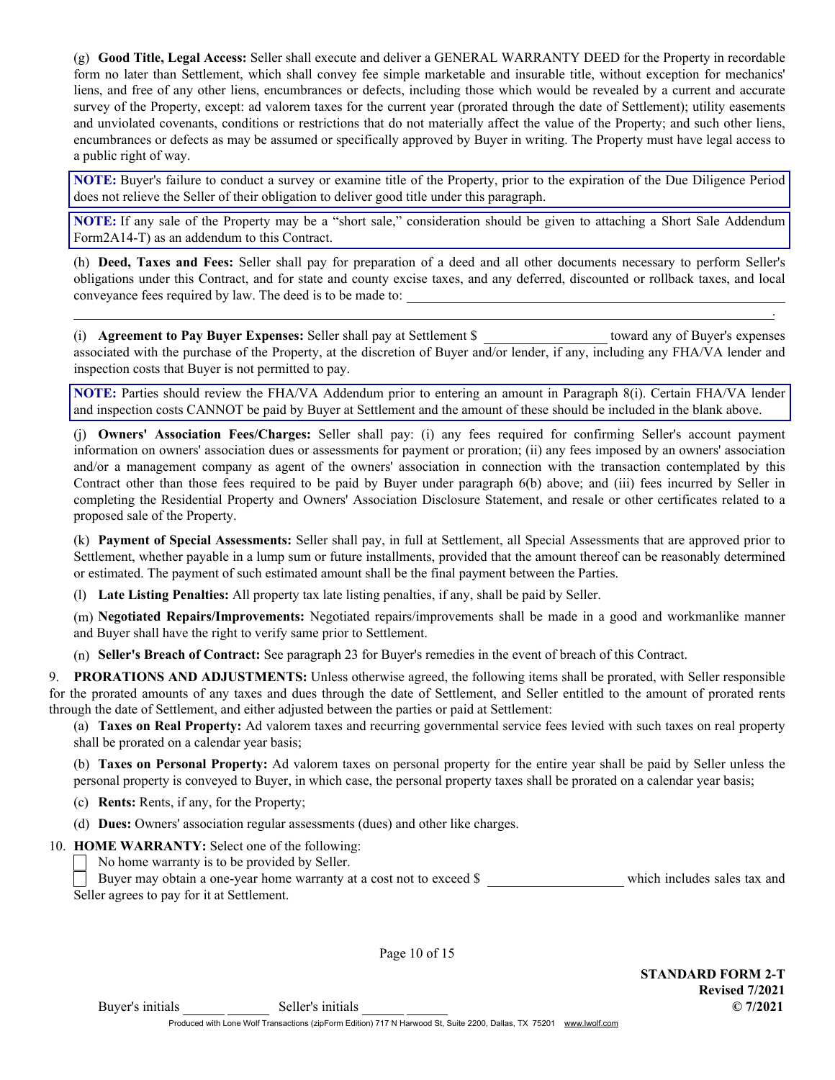(g) Good Title, Legal Access: Seller shall execute and deliver a GENERAL WARRANTY DEED for the Property in recordable form no later than Settlement, which shall convey fee simple marketable and insurable title, without exception for mechanics' liens, and free of any other liens, encumbrances or defects, including those which would be revealed by a current and accurate survey of the Property, except: ad valorem taxes for the current year (prorated through the date of Settlement); utility easements and unviolated covenants, conditions or restrictions that do not materially affect the value of the Property; and such other liens, encumbrances or defects as may be assumed or specifically approved by Buyer in writing. The Property must have legal access to a public right of way.

NOTE: Buyer's failure to conduct a survey or examine title of the Property, prior to the expiration of the Due Diligence Period does not relieve the Seller of their obligation to deliver good title under this paragraph.

NOTE: If any sale of the Property may be a "short sale," consideration should be given to attaching a Short Sale Addendum Form2A14-T) as an addendum to this Contract.

(h) Deed, Taxes and Fees: Seller shall pay for preparation of a deed and all other documents necessary to perform Seller's obligations under this Contract, and for state and county excise taxes, and any deferred, discounted or rollback taxes, and local conveyance fees required by law. The deed is to be made to:

(i) Agreement to Pay Buyer Expenses: Seller shall pay at Settlement \$ toward any of Buyer's expenses associated with the purchase of the Property, at the discretion of Buyer and/or lender, if any, including any FHA/VA lender and inspection costs that Buyer is not permitted to pay.

NOTE: Parties should review the FHA/VA Addendum prior to entering an amount in Paragraph 8(i). Certain FHA/VA lender and inspection costs CANNOT be paid by Buyer at Settlement and the amount of these should be included in the blank above.

(j) Owners' Association Fees/Charges: Seller shall pay: (i) any fees required for confirming Seller's account payment information on owners' association dues or assessments for payment or proration; (ii) any fees imposed by an owners' association and/or a management company as agent of the owners' association in connection with the transaction contemplated by this Contract other than those fees required to be paid by Buyer under paragraph 6(b) above; and (iii) fees incurred by Seller in completing the Residential Property and Owners' Association Disclosure Statement, and resale or other certificates related to a proposed sale of the Property.

(k) Payment of Special Assessments: Seller shall pay, in full at Settlement, all Special Assessments that are approved prior to Settlement, whether payable in a lump sum or future installments, provided that the amount thereof can be reasonably determined or estimated. The payment of such estimated amount shall be the final payment between the Parties.

(l) Late Listing Penalties: All property tax late listing penalties, if any, shall be paid by Seller.

(m) Negotiated Repairs/Improvements: Negotiated repairs/improvements shall be made in a good and workmanlike manner and Buyer shall have the right to verify same prior to Settlement.

(n) Seller's Breach of Contract: See paragraph 23 for Buyer's remedies in the event of breach of this Contract.

9. PRORATIONS AND ADJUSTMENTS: Unless otherwise agreed, the following items shall be prorated, with Seller responsible for the prorated amounts of any taxes and dues through the date of Settlement, and Seller entitled to the amount of prorated rents through the date of Settlement, and either adjusted between the parties or paid at Settlement:

(a) Taxes on Real Property: Ad valorem taxes and recurring governmental service fees levied with such taxes on real property shall be prorated on a calendar year basis;

(b) Taxes on Personal Property: Ad valorem taxes on personal property for the entire year shall be paid by Seller unless the personal property is conveyed to Buyer, in which case, the personal property taxes shall be prorated on a calendar year basis;

(c) Rents: Rents, if any, for the Property;

(d) Dues: Owners' association regular assessments (dues) and other like charges.

10. HOME WARRANTY: Select one of the following:

No home warranty is to be provided by Seller.

Buyer may obtain a one-year home warranty at a cost not to exceed \$ which includes sales tax and Seller agrees to pay for it at Settlement.

Page 10 of 15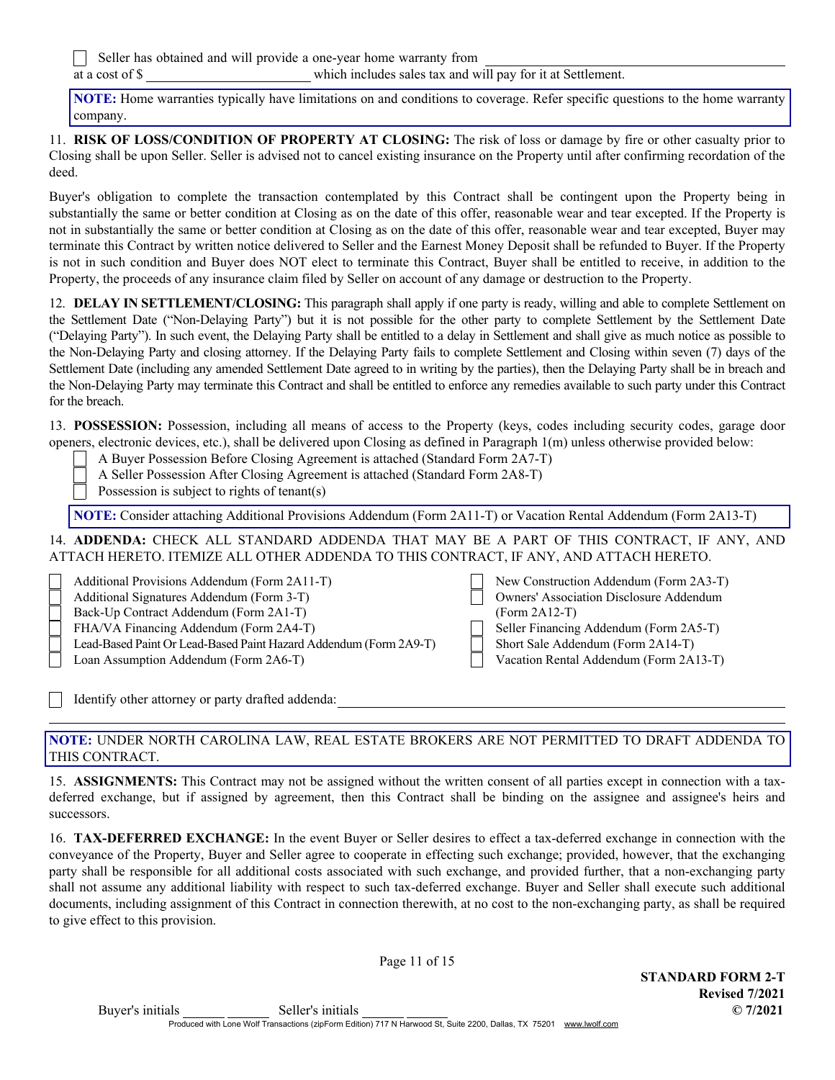Seller has obtained and will provide a one-year home warranty from at a cost of \$ which includes sales tax and will pay for it at Settlement.

NOTE: Home warranties typically have limitations on and conditions to coverage. Refer specific questions to the home warranty company.

11. RISK OF LOSS/CONDITION OF PROPERTY AT CLOSING: The risk of loss or damage by fire or other casualty prior to Closing shall be upon Seller. Seller is advised not to cancel existing insurance on the Property until after confirming recordation of the deed.

Buyer's obligation to complete the transaction contemplated by this Contract shall be contingent upon the Property being in substantially the same or better condition at Closing as on the date of this offer, reasonable wear and tear excepted. If the Property is not in substantially the same or better condition at Closing as on the date of this offer, reasonable wear and tear excepted, Buyer may terminate this Contract by written notice delivered to Seller and the Earnest Money Deposit shall be refunded to Buyer. If the Property is not in such condition and Buyer does NOT elect to terminate this Contract, Buyer shall be entitled to receive, in addition to the Property, the proceeds of any insurance claim filed by Seller on account of any damage or destruction to the Property.

12. DELAY IN SETTLEMENT/CLOSING: This paragraph shall apply if one party is ready, willing and able to complete Settlement on the Settlement Date ("Non-Delaying Party") but it is not possible for the other party to complete Settlement by the Settlement Date ("Delaying Party"). In such event, the Delaying Party shall be entitled to a delay in Settlement and shall give as much notice as possible to the Non-Delaying Party and closing attorney. If the Delaying Party fails to complete Settlement and Closing within seven (7) days of the Settlement Date (including any amended Settlement Date agreed to in writing by the parties), then the Delaying Party shall be in breach and the Non-Delaying Party may terminate this Contract and shall be entitled to enforce any remedies available to such party under this Contract for the breach.

13. POSSESSION: Possession, including all means of access to the Property (keys, codes including security codes, garage door openers, electronic devices, etc.), shall be delivered upon Closing as defined in Paragraph 1(m) unless otherwise provided below:

A Buyer Possession Before Closing Agreement is attached (Standard Form 2A7-T)

A Seller Possession After Closing Agreement is attached (Standard Form 2A8-T)

Possession is subject to rights of tenant(s)

NOTE: Consider attaching Additional Provisions Addendum (Form 2A11-T) or Vacation Rental Addendum (Form 2A13-T)

14. ADDENDA: CHECK ALL STANDARD ADDENDA THAT MAY BE A PART OF THIS CONTRACT, IF ANY, AND ATTACH HERETO. ITEMIZE ALL OTHER ADDENDA TO THIS CONTRACT, IF ANY, AND ATTACH HERETO.

| Additional Provisions Addendum (Form 2A11-T)<br>Additional Signatures Addendum (Form 3-T) | New Construction Addendum (Form 2A3-T)<br><b>Owners' Association Disclosure Addendum</b> |
|-------------------------------------------------------------------------------------------|------------------------------------------------------------------------------------------|
| Back-Up Contract Addendum (Form 2A1-T)                                                    | $(Form 2A12-T)$                                                                          |
| FHA/VA Financing Addendum (Form 2A4-T)                                                    | Seller Financing Addendum (Form 2A5-T)                                                   |
| Lead-Based Paint Or Lead-Based Paint Hazard Addendum (Form 2A9-T)                         | Short Sale Addendum (Form 2A14-T)                                                        |
| Loan Assumption Addendum (Form 2A6-T)                                                     | Vacation Rental Addendum (Form 2A13-T)                                                   |
|                                                                                           |                                                                                          |

Identify other attorney or party drafted addenda:

## NOTE: UNDER NORTH CAROLINA LAW, REAL ESTATE BROKERS ARE NOT PERMITTED TO DRAFT ADDENDA TO THIS CONTRACT.

15. ASSIGNMENTS: This Contract may not be assigned without the written consent of all parties except in connection with a taxdeferred exchange, but if assigned by agreement, then this Contract shall be binding on the assignee and assignee's heirs and successors.

16. TAX-DEFERRED EXCHANGE: In the event Buyer or Seller desires to effect a tax-deferred exchange in connection with the conveyance of the Property, Buyer and Seller agree to cooperate in effecting such exchange; provided, however, that the exchanging party shall be responsible for all additional costs associated with such exchange, and provided further, that a non-exchanging party shall not assume any additional liability with respect to such tax-deferred exchange. Buyer and Seller shall execute such additional documents, including assignment of this Contract in connection therewith, at no cost to the non-exchanging party, as shall be required to give effect to this provision.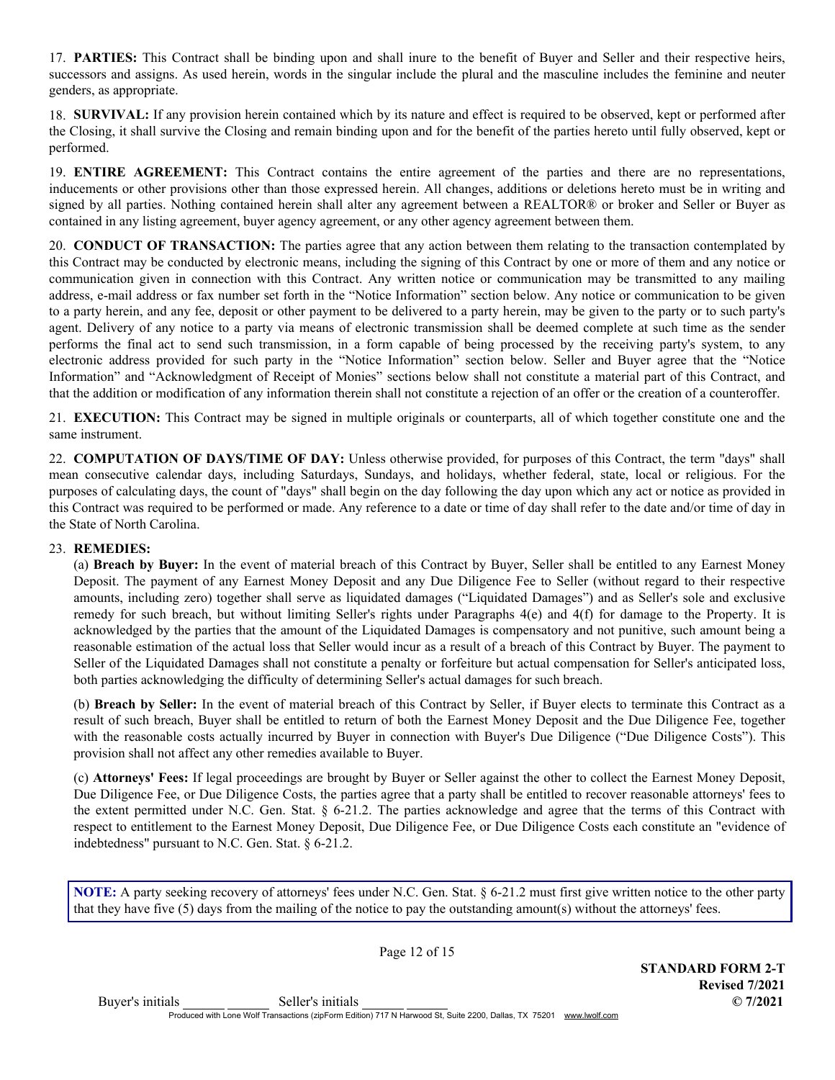17. PARTIES: This Contract shall be binding upon and shall inure to the benefit of Buyer and Seller and their respective heirs, successors and assigns. As used herein, words in the singular include the plural and the masculine includes the feminine and neuter genders, as appropriate.

18. SURVIVAL: If any provision herein contained which by its nature and effect is required to be observed, kept or performed after the Closing, it shall survive the Closing and remain binding upon and for the benefit of the parties hereto until fully observed, kept or performed.

19. ENTIRE AGREEMENT: This Contract contains the entire agreement of the parties and there are no representations, inducements or other provisions other than those expressed herein. All changes, additions or deletions hereto must be in writing and signed by all parties. Nothing contained herein shall alter any agreement between a REALTOR® or broker and Seller or Buyer as contained in any listing agreement, buyer agency agreement, or any other agency agreement between them.

20. CONDUCT OF TRANSACTION: The parties agree that any action between them relating to the transaction contemplated by this Contract may be conducted by electronic means, including the signing of this Contract by one or more of them and any notice or communication given in connection with this Contract. Any written notice or communication may be transmitted to any mailing address, e-mail address or fax number set forth in the "Notice Information" section below. Any notice or communication to be given to a party herein, and any fee, deposit or other payment to be delivered to a party herein, may be given to the party or to such party's agent. Delivery of any notice to a party via means of electronic transmission shall be deemed complete at such time as the sender performs the final act to send such transmission, in a form capable of being processed by the receiving party's system, to any electronic address provided for such party in the "Notice Information" section below. Seller and Buyer agree that the "Notice Information" and "Acknowledgment of Receipt of Monies" sections below shall not constitute a material part of this Contract, and that the addition or modification of any information therein shall not constitute a rejection of an offer or the creation of a counteroffer.

21. EXECUTION: This Contract may be signed in multiple originals or counterparts, all of which together constitute one and the same instrument.

22. COMPUTATION OF DAYS/TIME OF DAY: Unless otherwise provided, for purposes of this Contract, the term "days" shall mean consecutive calendar days, including Saturdays, Sundays, and holidays, whether federal, state, local or religious. For the purposes of calculating days, the count of "days" shall begin on the day following the day upon which any act or notice as provided in this Contract was required to be performed or made. Any reference to a date or time of day shall refer to the date and/or time of day in the State of North Carolina.

### 23. REMEDIES:

(a) Breach by Buyer: In the event of material breach of this Contract by Buyer, Seller shall be entitled to any Earnest Money Deposit. The payment of any Earnest Money Deposit and any Due Diligence Fee to Seller (without regard to their respective amounts, including zero) together shall serve as liquidated damages ("Liquidated Damages") and as Seller's sole and exclusive remedy for such breach, but without limiting Seller's rights under Paragraphs 4(e) and 4(f) for damage to the Property. It is acknowledged by the parties that the amount of the Liquidated Damages is compensatory and not punitive, such amount being a reasonable estimation of the actual loss that Seller would incur as a result of a breach of this Contract by Buyer. The payment to Seller of the Liquidated Damages shall not constitute a penalty or forfeiture but actual compensation for Seller's anticipated loss, both parties acknowledging the difficulty of determining Seller's actual damages for such breach.

(b) Breach by Seller: In the event of material breach of this Contract by Seller, if Buyer elects to terminate this Contract as a result of such breach, Buyer shall be entitled to return of both the Earnest Money Deposit and the Due Diligence Fee, together with the reasonable costs actually incurred by Buyer in connection with Buyer's Due Diligence ("Due Diligence Costs"). This provision shall not affect any other remedies available to Buyer.

(c) Attorneys' Fees: If legal proceedings are brought by Buyer or Seller against the other to collect the Earnest Money Deposit, Due Diligence Fee, or Due Diligence Costs, the parties agree that a party shall be entitled to recover reasonable attorneys' fees to the extent permitted under N.C. Gen. Stat. § 6-21.2. The parties acknowledge and agree that the terms of this Contract with respect to entitlement to the Earnest Money Deposit, Due Diligence Fee, or Due Diligence Costs each constitute an "evidence of indebtedness" pursuant to N.C. Gen. Stat. § 6-21.2.

NOTE: A party seeking recovery of attorneys' fees under N.C. Gen. Stat. § 6-21.2 must first give written notice to the other party that they have five (5) days from the mailing of the notice to pay the outstanding amount(s) without the attorneys' fees.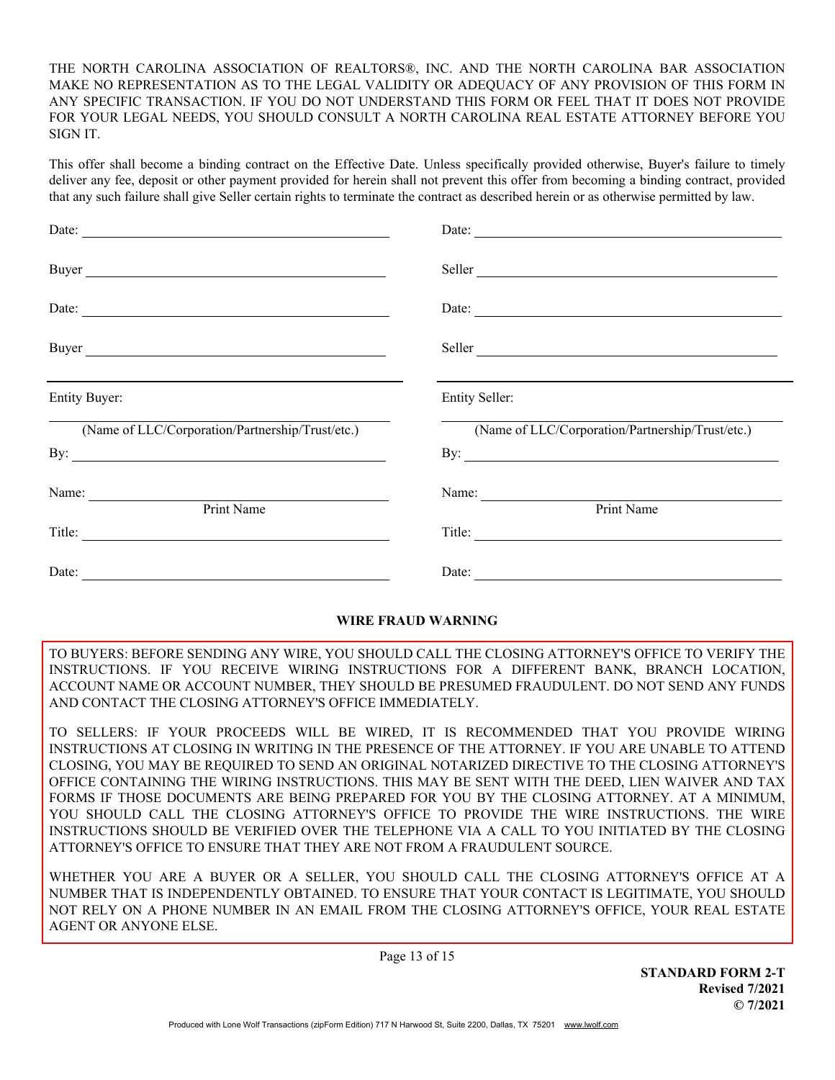THE NORTH CAROLINA ASSOCIATION OF REALTORS®, INC. AND THE NORTH CAROLINA BAR ASSOCIATION MAKE NO REPRESENTATION AS TO THE LEGAL VALIDITY OR ADEQUACY OF ANY PROVISION OF THIS FORM IN ANY SPECIFIC TRANSACTION. IF YOU DO NOT UNDERSTAND THIS FORM OR FEEL THAT IT DOES NOT PROVIDE FOR YOUR LEGAL NEEDS, YOU SHOULD CONSULT A NORTH CAROLINA REAL ESTATE ATTORNEY BEFORE YOU SIGN IT.

This offer shall become a binding contract on the Effective Date. Unless specifically provided otherwise, Buyer's failure to timely deliver any fee, deposit or other payment provided for herein shall not prevent this offer from becoming a binding contract, provided that any such failure shall give Seller certain rights to terminate the contract as described herein or as otherwise permitted by law.

| Date:                                                                                                                                                                                                                                                                                                                                                                                                        | Date: $\qquad \qquad$                                                                                                                                                                                                                                                                                                                                                                                                                                                          |
|--------------------------------------------------------------------------------------------------------------------------------------------------------------------------------------------------------------------------------------------------------------------------------------------------------------------------------------------------------------------------------------------------------------|--------------------------------------------------------------------------------------------------------------------------------------------------------------------------------------------------------------------------------------------------------------------------------------------------------------------------------------------------------------------------------------------------------------------------------------------------------------------------------|
| Buyer                                                                                                                                                                                                                                                                                                                                                                                                        |                                                                                                                                                                                                                                                                                                                                                                                                                                                                                |
| Date:                                                                                                                                                                                                                                                                                                                                                                                                        | Date: $\frac{1}{\sqrt{1-\frac{1}{2}}}\left\{1-\frac{1}{2}\left(1-\frac{1}{2}\right)\left(1-\frac{1}{2}\right)\left(1-\frac{1}{2}\right)\left(1-\frac{1}{2}\right)\left(1-\frac{1}{2}\right)\left(1-\frac{1}{2}\right)\left(1-\frac{1}{2}\right)\left(1-\frac{1}{2}\right)\left(1-\frac{1}{2}\right)\left(1-\frac{1}{2}\right)\left(1-\frac{1}{2}\right)\left(1-\frac{1}{2}\right)\left(1-\frac{1}{2}\right)\left(1-\frac{1}{2}\right)\left(1-\frac{1}{2}\right)\left(1-\frac{$ |
|                                                                                                                                                                                                                                                                                                                                                                                                              | Seller <u>and</u> the seller seller and the seller seller seller seller seller seller seller seller seller seller seller                                                                                                                                                                                                                                                                                                                                                       |
| Entity Buyer:                                                                                                                                                                                                                                                                                                                                                                                                | Entity Seller:                                                                                                                                                                                                                                                                                                                                                                                                                                                                 |
| (Name of LLC/Corporation/Partnership/Trust/etc.)                                                                                                                                                                                                                                                                                                                                                             | (Name of LLC/Corporation/Partnership/Trust/etc.)                                                                                                                                                                                                                                                                                                                                                                                                                               |
| By: $\qquad \qquad$                                                                                                                                                                                                                                                                                                                                                                                          | By: $\qquad \qquad$                                                                                                                                                                                                                                                                                                                                                                                                                                                            |
| Name: Print Name                                                                                                                                                                                                                                                                                                                                                                                             | Name: $\frac{1}{\sqrt{1+\frac{1}{2}}\sqrt{1+\frac{1}{2}}}}$                                                                                                                                                                                                                                                                                                                                                                                                                    |
| Title: $\frac{1}{\sqrt{1-\frac{1}{2}}\sqrt{1-\frac{1}{2}}\sqrt{1-\frac{1}{2}}\sqrt{1-\frac{1}{2}}\sqrt{1-\frac{1}{2}}\sqrt{1-\frac{1}{2}}\sqrt{1-\frac{1}{2}}\sqrt{1-\frac{1}{2}}\sqrt{1-\frac{1}{2}}\sqrt{1-\frac{1}{2}}\sqrt{1-\frac{1}{2}}\sqrt{1-\frac{1}{2}}\sqrt{1-\frac{1}{2}}\sqrt{1-\frac{1}{2}}\sqrt{1-\frac{1}{2}}\sqrt{1-\frac{1}{2}}\sqrt{1-\frac{1}{2}}\sqrt{1-\frac{1}{2}}\sqrt{1-\frac{1}{2$ | <b>Print Name</b>                                                                                                                                                                                                                                                                                                                                                                                                                                                              |
| Date:                                                                                                                                                                                                                                                                                                                                                                                                        | Date:                                                                                                                                                                                                                                                                                                                                                                                                                                                                          |

#### WIRE FRAUD WARNING

TO BUYERS: BEFORE SENDING ANY WIRE, YOU SHOULD CALL THE CLOSING ATTORNEY'S OFFICE TO VERIFY THE INSTRUCTIONS. IF YOU RECEIVE WIRING INSTRUCTIONS FOR A DIFFERENT BANK, BRANCH LOCATION, ACCOUNT NAME OR ACCOUNT NUMBER, THEY SHOULD BE PRESUMED FRAUDULENT. DO NOT SEND ANY FUNDS AND CONTACT THE CLOSING ATTORNEY'S OFFICE IMMEDIATELY.

TO SELLERS: IF YOUR PROCEEDS WILL BE WIRED, IT IS RECOMMENDED THAT YOU PROVIDE WIRING INSTRUCTIONS AT CLOSING IN WRITING IN THE PRESENCE OF THE ATTORNEY. IF YOU ARE UNABLE TO ATTEND CLOSING, YOU MAY BE REQUIRED TO SEND AN ORIGINAL NOTARIZED DIRECTIVE TO THE CLOSING ATTORNEY'S OFFICE CONTAINING THE WIRING INSTRUCTIONS. THIS MAY BE SENT WITH THE DEED, LIEN WAIVER AND TAX FORMS IF THOSE DOCUMENTS ARE BEING PREPARED FOR YOU BY THE CLOSING ATTORNEY. AT A MINIMUM, YOU SHOULD CALL THE CLOSING ATTORNEY'S OFFICE TO PROVIDE THE WIRE INSTRUCTIONS. THE WIRE INSTRUCTIONS SHOULD BE VERIFIED OVER THE TELEPHONE VIA A CALL TO YOU INITIATED BY THE CLOSING ATTORNEY'S OFFICE TO ENSURE THAT THEY ARE NOT FROM A FRAUDULENT SOURCE.

WHETHER YOU ARE A BUYER OR A SELLER, YOU SHOULD CALL THE CLOSING ATTORNEY'S OFFICE AT A NUMBER THAT IS INDEPENDENTLY OBTAINED. TO ENSURE THAT YOUR CONTACT IS LEGITIMATE, YOU SHOULD NOT RELY ON A PHONE NUMBER IN AN EMAIL FROM THE CLOSING ATTORNEY'S OFFICE, YOUR REAL ESTATE AGENT OR ANYONE ELSE.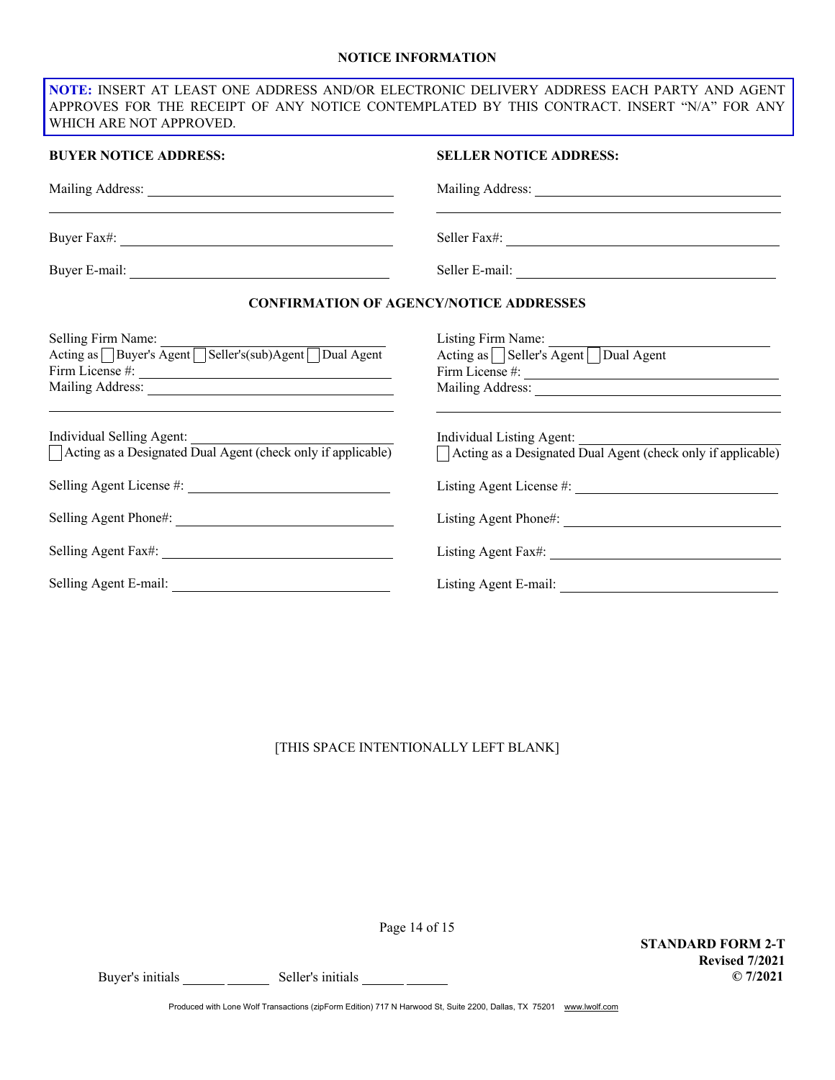#### NOTICE INFORMATION

| WHICH ARE NOT APPROVED.                                                                                                                                                                                                                                                                                                                                                                          | NOTE: INSERT AT LEAST ONE ADDRESS AND/OR ELECTRONIC DELIVERY ADDRESS EACH PARTY AND AGENT<br>APPROVES FOR THE RECEIPT OF ANY NOTICE CONTEMPLATED BY THIS CONTRACT. INSERT "N/A" FOR ANY |  |  |
|--------------------------------------------------------------------------------------------------------------------------------------------------------------------------------------------------------------------------------------------------------------------------------------------------------------------------------------------------------------------------------------------------|-----------------------------------------------------------------------------------------------------------------------------------------------------------------------------------------|--|--|
| <b>BUYER NOTICE ADDRESS:</b>                                                                                                                                                                                                                                                                                                                                                                     | <b>SELLER NOTICE ADDRESS:</b>                                                                                                                                                           |  |  |
|                                                                                                                                                                                                                                                                                                                                                                                                  |                                                                                                                                                                                         |  |  |
|                                                                                                                                                                                                                                                                                                                                                                                                  |                                                                                                                                                                                         |  |  |
|                                                                                                                                                                                                                                                                                                                                                                                                  |                                                                                                                                                                                         |  |  |
|                                                                                                                                                                                                                                                                                                                                                                                                  | <b>CONFIRMATION OF AGENCY/NOTICE ADDRESSES</b>                                                                                                                                          |  |  |
| Selling Firm Name:<br>Acting as Buyer's Agent Seller's(sub)Agent Dual Agent<br>Firm License #: $\frac{1}{2}$ $\frac{1}{2}$ $\frac{1}{2}$ $\frac{1}{2}$ $\frac{1}{2}$ $\frac{1}{2}$ $\frac{1}{2}$ $\frac{1}{2}$ $\frac{1}{2}$ $\frac{1}{2}$ $\frac{1}{2}$ $\frac{1}{2}$ $\frac{1}{2}$ $\frac{1}{2}$ $\frac{1}{2}$ $\frac{1}{2}$ $\frac{1}{2}$ $\frac{1}{2}$ $\frac{1}{2}$ $\frac{1}{2}$ $\frac{1$ | Listing Firm Name:<br>Acting as Seller's Agent Dual Agent                                                                                                                               |  |  |
| Individual Selling Agent:<br>Acting as a Designated Dual Agent (check only if applicable)                                                                                                                                                                                                                                                                                                        | Individual Listing Agent:<br>Acting as a Designated Dual Agent (check only if applicable)                                                                                               |  |  |
|                                                                                                                                                                                                                                                                                                                                                                                                  |                                                                                                                                                                                         |  |  |
|                                                                                                                                                                                                                                                                                                                                                                                                  |                                                                                                                                                                                         |  |  |
|                                                                                                                                                                                                                                                                                                                                                                                                  |                                                                                                                                                                                         |  |  |
|                                                                                                                                                                                                                                                                                                                                                                                                  |                                                                                                                                                                                         |  |  |

## [THIS SPACE INTENTIONALLY LEFT BLANK]

Page 14 of 15

Produced with Lone Wolf Transactions (zipForm Edition) 717 N Harwood St, Suite 2200, Dallas, TX 75201 www.lwolf.com